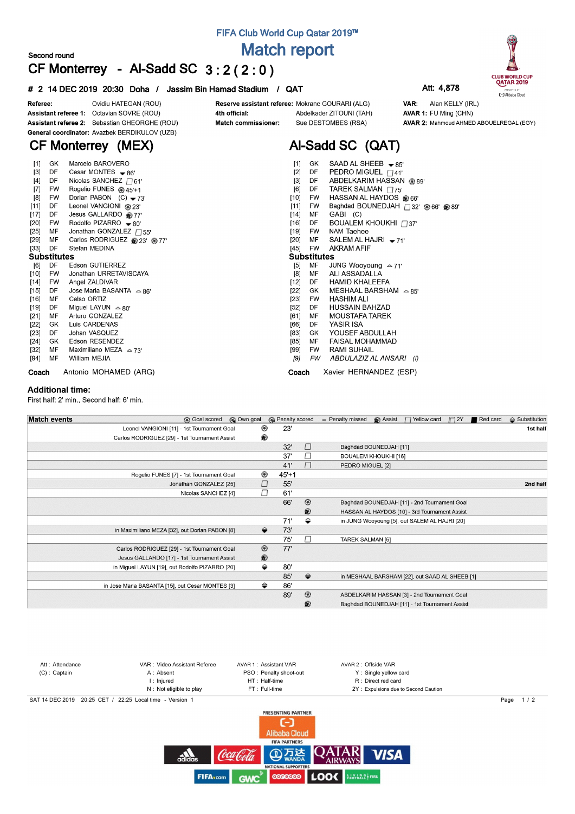## **FIFA Club World Cup Qatar 2019™ Match report**

### **Second round CF Monterrey - Al-Sadd SC 3 : 2 ( 2 : 0 )**

#### **# 2 14 DEC 2019 20:30 Doha / Jassim Bin Hamad Stadium / QAT Att: 4,878**





Ovidiu HATEGAN (ROU) Referee: Assistant referee 1: Octavian SOVRE (ROU) Assistant referee 2: Sebastian GHEORGHE (ROU) General coordinator: Avazbek BERDIKULOV (UZB)

### 4th official: Match commissioner:

Reserve assistant referee: Mokrane GOURARI (ALG) Abdelkader ZITOUNI (TAH) Sue DESTOMBES (RSA)

**Al-Sadd SC (QAT)**

 $\_$ SHEEB  $\bullet$  85'

VAR: Alan KELLY (IRL) AVAR 1: FU Ming (CHN) AVAR 2: Mahmoud AHMED ABOUELREGAL (EGY)

## **CF Monterrey (MEX)**

| $[1]$              | GK        | Marcelo BAROVERO                     | $[1]$<br>SAAD AL SHEEB $\bullet$ 85'<br>GK         |
|--------------------|-----------|--------------------------------------|----------------------------------------------------|
| $[3]$              | DF        | Cesar MONTES $\bullet$ 86'           | PEDRO MIGUEL $\Box$ 41'<br>$[2]$<br>DF             |
| $[4]$              | DF        | Nicolas SANCHEZ $\Box$ 61'           | ABDELKARIM HASSAN @89'<br>$[3]$<br>DF              |
| $[7]$              | <b>FW</b> | Rogelio FUNES @ 45'+1                | TAREK SALMAN $\Box$ 75'<br>[6]<br>DF               |
| [8]                | FW        | Dorlan PABON $(C)$ $\rightarrow$ 73' | HASSAN AL HAYDOS @66'<br>[10]<br>FW                |
| $[11]$             | DF        | Leonel VANGIONI @ 23'                | Baghdad BOUNEDJAH 732' @ 66' @ 89'<br>$[11]$<br>FW |
| [17]               | DF        | Jesus GALLARDO @77'                  | GABI (C)<br>MF<br>$[14]$                           |
| $[20]$             | FW        | Rodolfo PIZARRO $-80'$               | BOUALEM KHOUKHI $\Box$ 37'<br>$[16]$<br>DF.        |
| $[25]$             | MF        | Jonathan GONZALEZ $\Box$ 55'         | NAM Taehee<br>[19]<br>FW                           |
| $[29]$             | MF        | Carlos RODRIGUEZ @ 23' @ 77'         | $[20]$<br>MF<br>SALEM AL HAJRI $-71'$              |
| $[33]$             | DF        | Stefan MEDINA                        | <b>AKRAM AFIF</b><br>[45]<br>FW                    |
| <b>Substitutes</b> |           |                                      | <b>Substitutes</b>                                 |
| [6]                | DF        | Edson GUTIERREZ                      | МF<br>$[5]$<br>JUNG Wooyoung $\approx$ 71'         |
| [10]               | FW        | Jonathan URRETAVISCAYA               | ALI ASSADALLA<br>[8]<br>МF                         |
| $[14]$             | FW        | Angel ZALDIVAR                       | $[12]$<br><b>HAMID KHALEEFA</b><br>DF.             |
| $[15]$             | DF.       | Jose Maria BASANTA $\approx$ 86'     | MESHAAL BARSHAM $\approx 85'$<br>$[22]$<br>GK      |
| $[16]$             | MF        | Celso ORTIZ                          | $[23]$<br>HASHIM ALI<br>FW                         |
| [19]               | DF        | Miguel LAYUN $\approx$ 80'           | [52]<br>HUSSAIN BAHZAD<br>DF                       |
| $[21]$             | MF        | Arturo GONZALEZ                      | <b>MOUSTAFA TAREK</b><br>[61]<br>MF                |
| $[22]$             | GK        | Luis CARDENAS                        | YASIR ISA<br>[66]<br>DF.                           |
| [23]               | DF        | Johan VASQUEZ                        | YOUSEF ABDULLAH<br>[83]<br>GK                      |
| [24]               | GK        | Edson RESENDEZ                       | <b>FAISAL MOHAMMAD</b><br>$[85]$<br>МF             |
| [32]               | МF        | Maximiliano MEZA $\approx$ 73'       | <b>RAMI SUHAIL</b><br>[99]<br><b>FW</b>            |
| [94]               | MF        | William MEJIA                        | [9]<br>FW<br>ABDULAZIZ AL ANSARI (I)               |
| Coach              |           | Antonio MOHAMED (ARG)                | Xavier HERNANDEZ (ESP)<br>Coach                    |

#### **Additional time:**

First half: 2' min., Second half: 6' min.

| <b>Match events</b> | <b>B</b> Goal scored                             | © Own goal |                       | <b>B</b> Penalty scored | - Penalty missed | Assist                      | $\Box$ Yellow card                             | $\Box$ 2Y | Red card | $\triangle$ Substitution |
|---------------------|--------------------------------------------------|------------|-----------------------|-------------------------|------------------|-----------------------------|------------------------------------------------|-----------|----------|--------------------------|
|                     | Leonel VANGIONI [11] - 1st Tournament Goal       |            | ⊛<br>23'              |                         |                  |                             |                                                |           |          | 1st half                 |
|                     | Carlos RODRIGUEZ [29] - 1st Tournament Assist    |            | ®                     |                         |                  |                             |                                                |           |          |                          |
|                     |                                                  |            | 32'                   | $\Box$                  |                  | Baghdad BOUNEDJAH [11]      |                                                |           |          |                          |
|                     |                                                  |            | 37'                   | $\Box$                  |                  | <b>BOUALEM KHOUKHI [16]</b> |                                                |           |          |                          |
|                     |                                                  |            | 41'                   | $\Box$                  | PEDRO MIGUEL [2] |                             |                                                |           |          |                          |
|                     | Rogelio FUNES [7] - 1st Tournament Goal          |            | ◉<br>$45+1$           |                         |                  |                             |                                                |           |          |                          |
|                     | Jonathan GONZALEZ [25]                           |            | 55'                   |                         |                  |                             |                                                |           |          | 2nd half                 |
|                     | Nicolas SANCHEZ [4]                              |            | П<br>61'              |                         |                  |                             |                                                |           |          |                          |
|                     |                                                  |            | 66'                   | $^{\circ}$              |                  |                             | Baghdad BOUNEDJAH [11] - 2nd Tournament Goal   |           |          |                          |
|                     |                                                  |            |                       | ®                       |                  |                             | HASSAN AL HAYDOS [10] - 3rd Tournament Assist  |           |          |                          |
|                     |                                                  |            | 71'                   | ⇔                       |                  |                             | in JUNG Wooyoung [5], out SALEM AL HAJRI [20]  |           |          |                          |
|                     | in Maximiliano MEZA [32], out Dorlan PABON [8]   |            | ⇔<br>73'              |                         |                  |                             |                                                |           |          |                          |
|                     |                                                  |            | 75'                   | $\Box$                  | TAREK SALMAN [6] |                             |                                                |           |          |                          |
|                     | Carlos RODRIGUEZ [29] - 1st Tournament Goal      |            | $^{\circledR}$<br>77' |                         |                  |                             |                                                |           |          |                          |
|                     | Jesus GALLARDO [17] - 1st Tournament Assist      |            | ®                     |                         |                  |                             |                                                |           |          |                          |
|                     | in Miguel LAYUN [19], out Rodolfo PIZARRO [20]   |            | ⇔<br>80'              |                         |                  |                             |                                                |           |          |                          |
|                     |                                                  |            | 85'                   | $\Rightarrow$           |                  |                             | in MESHAAL BARSHAM [22], out SAAD AL SHEEB [1] |           |          |                          |
|                     | in Jose Maria BASANTA [15], out Cesar MONTES [3] |            | ⇔<br>86'              |                         |                  |                             |                                                |           |          |                          |
|                     |                                                  |            | 89'                   | $^{\circ}$              |                  |                             | ABDELKARIM HASSAN [3] - 2nd Tournament Goal    |           |          |                          |
|                     |                                                  |            |                       | $\circledR$             |                  |                             | Baghdad BOUNEDJAH [11] - 1st Tournament Assist |           |          |                          |

| Att: Attendance | VAR: Video Assistant Referee                             | AVAR 1: Assistant VAR  | AVAR 2: Offside VAR                  |                       |
|-----------------|----------------------------------------------------------|------------------------|--------------------------------------|-----------------------|
| $(C)$ : Captain | A: Absent                                                | PSO: Penalty shoot-out | Y: Single yellow card                |                       |
|                 | I: Iniured                                               | HT: Half-time          | R : Direct red card                  |                       |
|                 | N: Not eligible to play                                  | FT: Full-time          | 2Y: Expulsions due to Second Caution |                       |
|                 | SAT 14 DEC 2019 20:25 CET / 22:25 Local time - Version 1 |                        |                                      | $\frac{1}{2}$<br>Page |